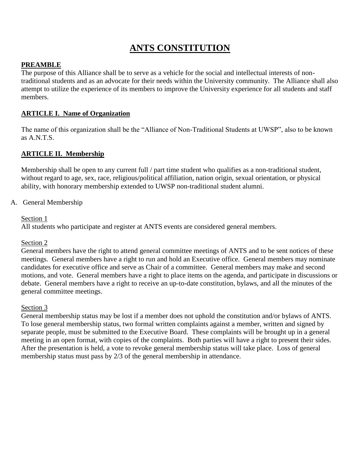# **ANTS CONSTITUTION**

# **PREAMBLE**

The purpose of this Alliance shall be to serve as a vehicle for the social and intellectual interests of nontraditional students and as an advocate for their needs within the University community. The Alliance shall also attempt to utilize the experience of its members to improve the University experience for all students and staff members.

# **ARTICLE I. Name of Organization**

The name of this organization shall be the "Alliance of Non-Traditional Students at UWSP", also to be known as A.N.T.S.

## **ARTICLE II. Membership**

Membership shall be open to any current full / part time student who qualifies as a non-traditional student, without regard to age, sex, race, religious/political affiliation, nation origin, sexual orientation, or physical ability, with honorary membership extended to UWSP non-traditional student alumni.

## A. General Membership

#### Section 1

All students who participate and register at ANTS events are considered general members.

#### Section 2

General members have the right to attend general committee meetings of ANTS and to be sent notices of these meetings. General members have a right to run and hold an Executive office. General members may nominate candidates for executive office and serve as Chair of a committee. General members may make and second motions, and vote. General members have a right to place items on the agenda, and participate in discussions or debate. General members have a right to receive an up-to-date constitution, bylaws, and all the minutes of the general committee meetings.

#### Section 3

General membership status may be lost if a member does not uphold the constitution and/or bylaws of ANTS. To lose general membership status, two formal written complaints against a member, written and signed by separate people, must be submitted to the Executive Board. These complaints will be brought up in a general meeting in an open format, with copies of the complaints. Both parties will have a right to present their sides. After the presentation is held, a vote to revoke general membership status will take place. Loss of general membership status must pass by 2/3 of the general membership in attendance.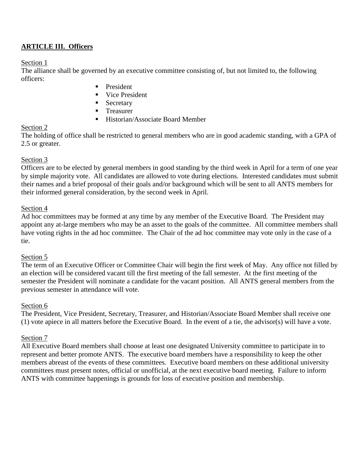# **ARTICLE III. Officers**

## Section 1

The alliance shall be governed by an executive committee consisting of, but not limited to, the following officers:

- **President**
- Vice President
- **Secretary**
- **Treasurer**
- Historian/Associate Board Member

# Section 2

The holding of office shall be restricted to general members who are in good academic standing, with a GPA of 2.5 or greater.

# Section 3

Officers are to be elected by general members in good standing by the third week in April for a term of one year by simple majority vote. All candidates are allowed to vote during elections. Interested candidates must submit their names and a brief proposal of their goals and/or background which will be sent to all ANTS members for their informed general consideration, by the second week in April.

# Section 4

Ad hoc committees may be formed at any time by any member of the Executive Board. The President may appoint any at-large members who may be an asset to the goals of the committee. All committee members shall have voting rights in the ad hoc committee. The Chair of the ad hoc committee may vote only in the case of a tie.

# Section 5

The term of an Executive Officer or Committee Chair will begin the first week of May. Any office not filled by an election will be considered vacant till the first meeting of the fall semester. At the first meeting of the semester the President will nominate a candidate for the vacant position. All ANTS general members from the previous semester in attendance will vote.

# Section 6

The President, Vice President, Secretary, Treasurer, and Historian/Associate Board Member shall receive one (1) vote apiece in all matters before the Executive Board. In the event of a tie, the advisor(s) will have a vote.

# Section 7

All Executive Board members shall choose at least one designated University committee to participate in to represent and better promote ANTS. The executive board members have a responsibility to keep the other members abreast of the events of these committees. Executive board members on these additional university committees must present notes, official or unofficial, at the next executive board meeting. Failure to inform ANTS with committee happenings is grounds for loss of executive position and membership.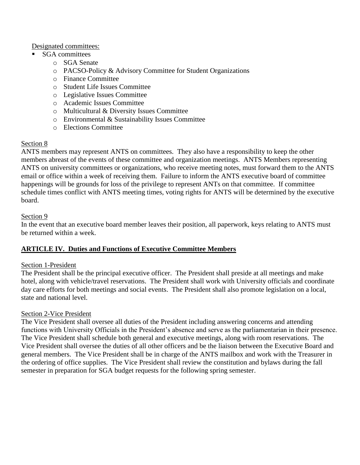Designated committees:

- SGA committees
	- o SGA Senate
	- o PACSO-Policy & Advisory Committee for Student Organizations
	- o Finance Committee
	- o Student Life Issues Committee
	- o Legislative Issues Committee
	- o Academic Issues Committee
	- o Multicultural & Diversity Issues Committee
	- o Environmental & Sustainability Issues Committee
	- o Elections Committee

## Section 8

ANTS members may represent ANTS on committees. They also have a responsibility to keep the other members abreast of the events of these committee and organization meetings. ANTS Members representing ANTS on university committees or organizations, who receive meeting notes, must forward them to the ANTS email or office within a week of receiving them. Failure to inform the ANTS executive board of committee happenings will be grounds for loss of the privilege to represent ANTs on that committee. If committee schedule times conflict with ANTS meeting times, voting rights for ANTS will be determined by the executive board.

## Section 9

In the event that an executive board member leaves their position, all paperwork, keys relating to ANTS must be returned within a week.

# **ARTICLE IV. Duties and Functions of Executive Committee Members**

#### Section 1-President

The President shall be the principal executive officer. The President shall preside at all meetings and make hotel, along with vehicle/travel reservations. The President shall work with University officials and coordinate day care efforts for both meetings and social events. The President shall also promote legislation on a local, state and national level.

#### Section 2-Vice President

The Vice President shall oversee all duties of the President including answering concerns and attending functions with University Officials in the President's absence and serve as the parliamentarian in their presence. The Vice President shall schedule both general and executive meetings, along with room reservations. The Vice President shall oversee the duties of all other officers and be the liaison between the Executive Board and general members. The Vice President shall be in charge of the ANTS mailbox and work with the Treasurer in the ordering of office supplies. The Vice President shall review the constitution and bylaws during the fall semester in preparation for SGA budget requests for the following spring semester.